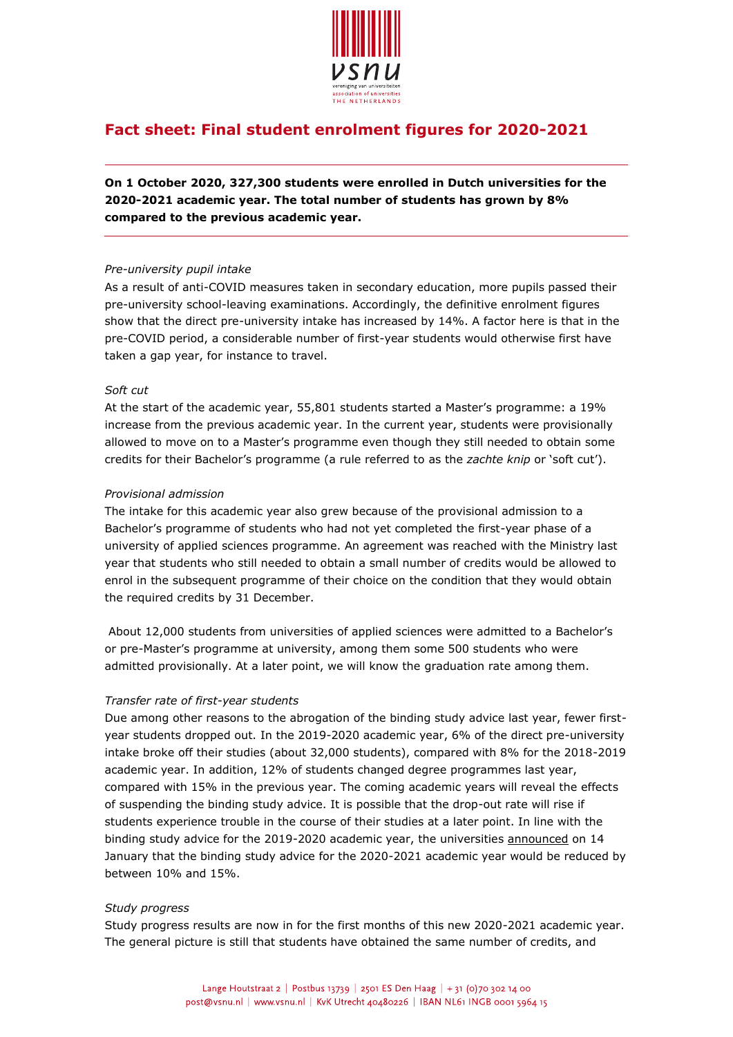

# **Fact sheet: Final student enrolment figures for 2020-2021**

**On 1 October 2020, 327,300 students were enrolled in Dutch universities for the 2020-2021 academic year. The total number of students has grown by 8% compared to the previous academic year.** 

## *Pre-university pupil intake*

As a result of anti-COVID measures taken in secondary education, more pupils passed their pre-university school-leaving examinations. Accordingly, the definitive enrolment figures show that the direct pre-university intake has increased by 14%. A factor here is that in the pre-COVID period, a considerable number of first-year students would otherwise first have taken a gap year, for instance to travel.

## *Soft cut*

At the start of the academic year, 55,801 students started a Master's programme: a 19% increase from the previous academic year. In the current year, students were provisionally allowed to move on to a Master's programme even though they still needed to obtain some credits for their Bachelor's programme (a rule referred to as the *zachte knip* or 'soft cut').

## *Provisional admission*

The intake for this academic year also grew because of the provisional admission to a Bachelor's programme of students who had not yet completed the first-year phase of a university of applied sciences programme. An agreement was reached with the Ministry last year that students who still needed to obtain a small number of credits would be allowed to enrol in the subsequent programme of their choice on the condition that they would obtain the required credits by 31 December.

About 12,000 students from universities of applied sciences were admitted to a Bachelor's or pre-Master's programme at university, among them some 500 students who were admitted provisionally. At a later point, we will know the graduation rate among them.

## *Transfer rate of first-year students*

Due among other reasons to the abrogation of the binding study advice last year, fewer firstyear students dropped out. In the 2019-2020 academic year, 6% of the direct pre-university intake broke off their studies (about 32,000 students), compared with 8% for the 2018-2019 academic year. In addition, 12% of students changed degree programmes last year, compared with 15% in the previous year. The coming academic years will reveal the effects of suspending the binding study advice. It is possible that the drop-out rate will rise if students experience trouble in the course of their studies at a later point. In line with the binding study advice for the 2019-2020 academic year, the universities [announced](https://vsnu.nl/nl_NL/nieuwsbericht/nieuwsbericht/688-universiteiten-verlagen-generiek-de-norm-voor-bsa-dit-jaar-met-een-bandbreedte-van-10-15.html) on 14 January that the binding study advice for the 2020-2021 academic year would be reduced by between 10% and 15%.

## *Study progress*

Study progress results are now in for the first months of this new 2020-2021 academic year. The general picture is still that students have obtained the same number of credits, and